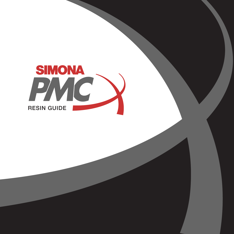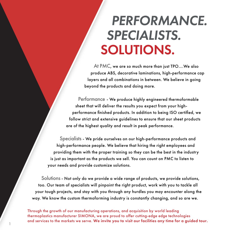### SOLUTIONS. *PERFORMANCE. SPECIALISTS.*

At PMC, we are so much more than just TPO….We also produce ABS, decorative laminations, high-performance cap layers and all combinations in between. We believe in going beyond the products and doing more.

Performance - We produce highly engineered thermoformable sheet that will deliver the results you expect from your highperformance finished products. In addition to being ISO certified, we follow strict and extensive guidelines to ensure that our sheet products are of the highest quality and result in peak performance.

Specialists - We pride ourselves on our high-performance products and high-performance people. We believe that hiring the right employees and providing them with the proper training so they can be the best in the industry is just as important as the products we sell. You can count on PMC to listen to your needs and provide customize solutions.

Solutions - Not only do we provide a wide range of products, we provide solutions, too. Our team of specialists will pinpoint the right product, work with you to tackle all your tough projects, and stay with you through any hurdles you may encounter along the way. We know the custom thermoforming industry is constantly changing, and so are we.

Through the growth of our manufacturing operations, and acquisition by world leading thermoplastics manufacturer SIMONA, we are proud to offer cutting-edge edge technologies and services to the markets we serve. We invite you to visit our facilities any time for a guided tour. 1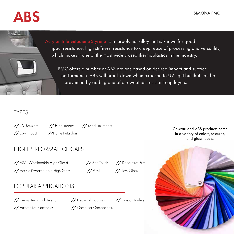## ABS



### TYPES

*//* UV Resistant *//* High Impact *//* Medium Impact *//* Low Impact *//* Flame Retardant

### HIGH PERFORMANCE CAPS

*//* ASA (Weatherable High Gloss) *//* Soft Touch *//* Decorative Film

*//* Acrylic (Weatherable High Gloss) *//* Vinyl *//* Low Gloss

#### POPULAR APPLICATIONS

*//* Heavy Truck Cab Interior *//* Electrical Housings *//* Cargo Haulers

*//* Automotive Electronics *//* Computer Components

Co-extruded ABS products come in a variety of colors, textures, and gloss levels.

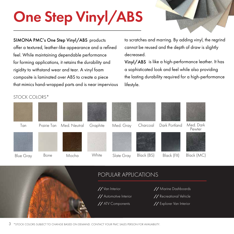# One Step Vinyl/ABS

SIMONA PMC's One Step Vinyl/ABS products offer a textured, leather-like appearance and a refined feel. While maintaining dependable performance for forming applications, it retains the durability and rigidity to withstand wear and tear. A vinyl foam composite is laminated over ABS to create a piece that mimics hand-wrapped parts and is near impervious to scratches and marring. By adding vinyl, the regrind cannot be reused and the depth of draw is slightly decreased.

Vinyl/ABS is like a high-performance leather. It has a sophisticated look and feel while also providing the lasting durability required for a high-performance lifestyle.

#### STOCK COLORS\*





- 
- 
- 
- *//* Van Interior *//* Marine Dashboards
- *//* Automotive Interior *//* Recreational Vehicle
- *//* ATV Components *//* Explorer Van Interior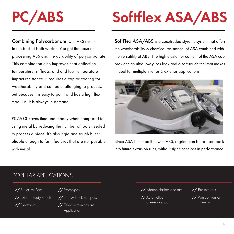# PC/ABS

Combining Polycarbonate with ABS results in the best of both worlds. You get the ease of processing ABS and the durability of polycarbonate. This combination also improves heat deflection temperature, stiffness, and and low-temperature impact resistance. It requires a cap or coating for weatherability and can be challenging to process, but because it is easy to paint and has a high flex modulus, it is always in demand.

PC/ABS saves time and money when compared to using metal by reducing the number of tools needed to process a piece. It's also rigid and tough but still pliable enough to form features that are not possible with metal.

# Softflex ASA/ABS

SoftFlex ASA/ABS is a coextruded styrenic system that offers the weatherability & chemical resistance of ASA combined with the versatility of ABS. The high elastomer content of the ASA cap provides an ultra low-gloss look and a soft-touch feel that makes it ideal for multiple interior & exterior applications.



Since ASA is compatible with ABS, regrind can be re-used back into future extrusion runs, without significant loss in performance.

#### POPULAR APPLICATIONS

*//* Structural Parts *//* Prototypes *//* Electronics *//* Telecommunications

*//* Exterior Body Panels *//* Heavy Truck Bumpers

**Application** 

*//* Marine dashes and trim *//* Bus interiors

*//* Automotive aftermarket parts interiors

*//* Van conversion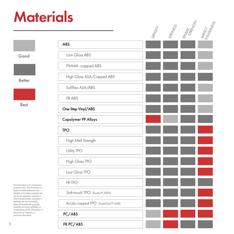## **Materials**

Good

Better



Best

This information is for comparison purposes only. The information is based on data believed to be reliable on the date compiled, but we do not represent, warrant, or otherwise guarantee, expressly or impliedly, the merchantability, fitness for a particular purpose, suitability, accuracy, reliability, or completeness of this information or the products, materials, or processes described.

|                                     | DENSITY |  | STIFNESS<br>TENSILE<br>STIENCT<br>MARCT<br>MARCT |
|-------------------------------------|---------|--|--------------------------------------------------|
| <b>ABS</b>                          |         |  |                                                  |
| Low Gloss ABS                       |         |  |                                                  |
| PMMA -capped ABS                    |         |  |                                                  |
| High Gloss ASA/Capped ABS           |         |  |                                                  |
| Softflex ASA/ABS                    |         |  |                                                  |
| FR ABS                              |         |  |                                                  |
| One Step Vinyl/ABS                  |         |  |                                                  |
| <b>Copolymer PP Alloys</b>          |         |  |                                                  |
| <b>TPO</b>                          |         |  |                                                  |
| High Melt Strength                  |         |  |                                                  |
| Utility TPO                         |         |  |                                                  |
| High Gloss TPO                      |         |  |                                                  |
| Low Gloss TPO                       |         |  |                                                  |
| FR TPO                              |         |  |                                                  |
| Soft-touch TPO (Exultra™ 2000)      |         |  |                                                  |
| Acrylic-capped TPO (StrataGem™ SMR) |         |  |                                                  |
| PC/ABS                              |         |  |                                                  |
| FR PC/ABS                           |         |  |                                                  |

5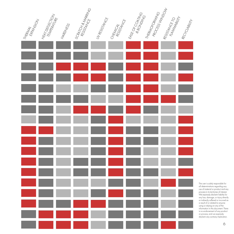

The user is solely responsible for all determinations regarding any use of material or product and any process in its territories of interest. We expressly disclaim liability for any loss, damage, or injury directly or indirectly suffered or incurred as a result of or related to anyone using or relying on any of the information in this document. There is no endorsement of any product or process, and we expressly disclaim any contrary implication.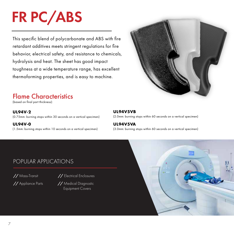# FR PC/ABS

This specific blend of polycarbonate and ABS with fire retardant additives meets stringent regulations for fire behavior, electrical safety, and resistance to chemicals, hydrolysis and heat. The sheet has good impact toughness at a wide temperature range, has excellent thermoforming properties, and is easy to machine.



### Flame Characteristics

(based on final part thickness):

**UL94V-2**

(0.75mm: burning stops within 30 seconds on a vertical specimen)

**UL94V-0** (1.5mm: burning stops within 10 seconds on a vertical specimen)

#### **UL94V5VB**

(2.0mm: burning stops within 60 seconds on a vertical specimen)

#### **UL94V5VA**

(3.0mm: burning stops within 60 seconds on a vertical specimen)

#### POPULAR APPLICATIONS

*//* Mass-Transit *//* Electrical Enclosures

*//* Appliance Parts *//* Medical Diagnostic Equipment Covers

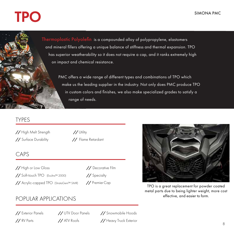# TPO SIMONA PMC

Thermoplastic Polyolefin is a compounded alloy of polypropylene, elastomers Thermoplastic Polyolefin is a compounded alloy of polypropylene, elastomers and mineral fillers offering a unique balance of stiffness and thermal expansion. TPO and mineral fillers offering a unique balance of stiffness and thermal expansion. TPO has superior weatherability so it does not require a cap, and it ranks extremely high on impact and chemical resistance. on impact and chemical resistance.

PMC offers a wide range of different types and combinations of TPO which PMC offers a wide range of different types and combinations of TPO which make us the leading supplier in the industry. Not only does PMC produce make us the leading supplier in the industry. Not only does PMC produce TPO in custom colors and finishes, we also make specialized grades to satisfy a range of needs. The range of needs.

#### TYPES

*//* High Melt Strength *//* Utility *//* Surface Durability *//* Flame Retardant

### CAPS

*//* High or Low Gloss *//* Decorative Film *//* Soft-touch TPO (Exultra™ 2000) *//* Specialty *//* Acrylic-capped TPO (StrataGem™ SMR)

*//* PremierCap



TPO is a great replacement for powder coated metal parts due to being lighter weight, more cost effective, and easier to form.

### POPULAR APPLICATIONS

*//* Exterior Panels *//* UTV Door Panels *//* Snowmobile Hoods *//* RV Parts *//* ATV Roofs *//* Heavy Truck Exterior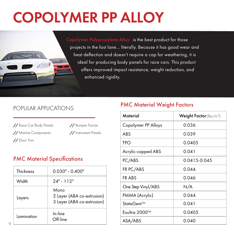# COPOLYMER PP ALLOY

Copolymer Polypropylene Alloy is the best product for those projects in the fast lane… literally. Because it has good wear and heat deflection and doesn't require a cap for weathering, it is ideal for producing body panels for race cars. This product offers improved impact resistance, weight reduction, and enhanced rigidity.

#### POPULAR APPLICATIONS

*//* Race Car Body Panels *//* Bumper Facias *//* Marine Components *//* Instrument Panels *//* Door Trim

#### PMC Material Specifications

| <b>Thickness</b> | $0.030" - 0.400"$                                                |
|------------------|------------------------------------------------------------------|
| Width            | $24" - 112"$                                                     |
| Layers           | Mono<br>2 Layer (ABA co-extrusion)<br>3 Layer (ABA co-extrusion) |
| Lamination       | In-line<br>Off-line                                              |

#### PMC Material Weight Factors

| Material            | Weight Factor (lbs/in <sup>3</sup> ) |  |  |
|---------------------|--------------------------------------|--|--|
| Copolymer PP Alloys | 0.036                                |  |  |
| ABS                 | 0.039                                |  |  |
| TPO                 | 0.0405                               |  |  |
| Acrylic-capped ABS  | 0.041                                |  |  |
| PC/ABS              | 0.0415-0.045                         |  |  |
| FR PC/ABS           | 0.044                                |  |  |
| FR ABS              | 0.046                                |  |  |
| One Step Vinyl/ABS  | N/A                                  |  |  |
| PMMA (Acrylic)      | 0.044                                |  |  |
| StataGem™           | 0.041                                |  |  |
| Exultra 2000™       | 0.0405                               |  |  |
| ASA/ABS             | 0.040                                |  |  |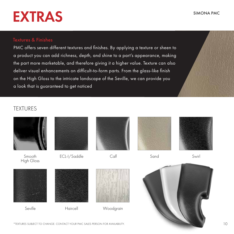#### SIMONA PMC

## EXTRAS

#### Textures & Finishes

PMC offers seven different textures and finishes. By applying a texture or sheen to a product you can add richness, depth, and shine to a part's appearance, making the part more marketable, and therefore giving it a higher value. Texture can also deliver visual enhancements on difficult-to-form parts. From the glass-like finish on the High Gloss to the intricate landscape of the Seville, we can provide you a look that is guaranteed to get noticed

#### TEXTURES